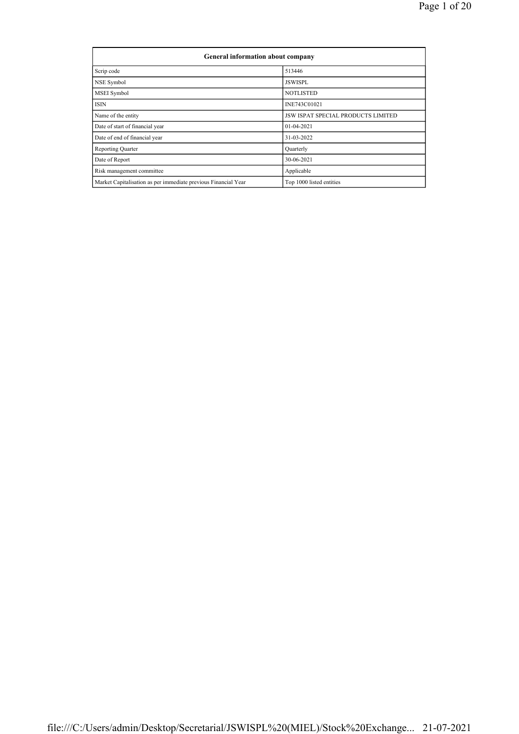| <b>General information about company</b>                       |                                           |  |  |  |  |  |  |  |
|----------------------------------------------------------------|-------------------------------------------|--|--|--|--|--|--|--|
| Scrip code                                                     | 513446                                    |  |  |  |  |  |  |  |
| NSE Symbol                                                     | <b>JSWISPL</b>                            |  |  |  |  |  |  |  |
| MSEI Symbol                                                    | <b>NOTLISTED</b>                          |  |  |  |  |  |  |  |
| <b>ISIN</b>                                                    | INE743C01021                              |  |  |  |  |  |  |  |
| Name of the entity                                             | <b>JSW ISPAT SPECIAL PRODUCTS LIMITED</b> |  |  |  |  |  |  |  |
| Date of start of financial year                                | 01-04-2021                                |  |  |  |  |  |  |  |
| Date of end of financial year                                  | 31-03-2022                                |  |  |  |  |  |  |  |
| <b>Reporting Quarter</b>                                       | Quarterly                                 |  |  |  |  |  |  |  |
| Date of Report                                                 | 30-06-2021                                |  |  |  |  |  |  |  |
| Risk management committee                                      | Applicable                                |  |  |  |  |  |  |  |
| Market Capitalisation as per immediate previous Financial Year | Top 1000 listed entities                  |  |  |  |  |  |  |  |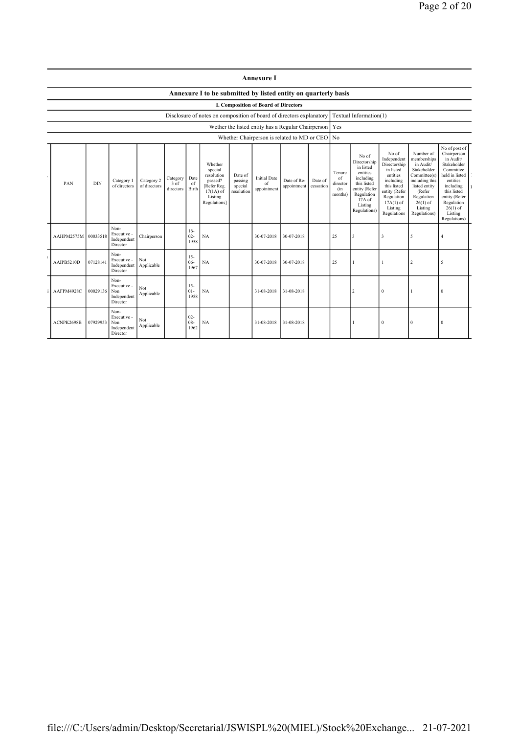| Annexure |  |
|----------|--|
|----------|--|

## Annexure I to be submitted by listed entity on quarterly basis

I. Composition of Board of Directors

Disclosure of notes on composition of board of directors explanatory Textual Information(1)

Wether the listed entity has a Regular Chairperson Yes

| Whether Chairperson is related to MD or CEO No |                     |            |                                                       |                            |                               |                          |                                                                                                      |                                             |                                          |                            |                      |                                            |                                                                                                                                                |                                                                                                                                                                   |                                                                                                                                                                          |                                                                                                                                                                                                         |
|------------------------------------------------|---------------------|------------|-------------------------------------------------------|----------------------------|-------------------------------|--------------------------|------------------------------------------------------------------------------------------------------|---------------------------------------------|------------------------------------------|----------------------------|----------------------|--------------------------------------------|------------------------------------------------------------------------------------------------------------------------------------------------|-------------------------------------------------------------------------------------------------------------------------------------------------------------------|--------------------------------------------------------------------------------------------------------------------------------------------------------------------------|---------------------------------------------------------------------------------------------------------------------------------------------------------------------------------------------------------|
|                                                | PAN                 | <b>DIN</b> | Category 1<br>of directors                            | Category 2<br>of directors | Category<br>3 of<br>directors | Date<br>of<br>Birth      | Whether<br>special<br>resolution<br>passed?<br>[Refer Reg.<br>$17(1A)$ of<br>Listing<br>Regulations] | Date of<br>passing<br>special<br>resolution | <b>Initial Date</b><br>of<br>appointment | Date of Re-<br>appointment | Date of<br>cessation | Tenure<br>of<br>director<br>(in<br>months) | No of<br>Directorship<br>in listed<br>entities<br>including<br>this listed<br>entity (Refer<br>Regulation<br>17A of<br>Listing<br>Regulations) | No of<br>Independent<br>Directorship<br>in listed<br>entities<br>including<br>this listed<br>entity (Refer<br>Regulation<br>$17A(1)$ of<br>Listing<br>Regulations | Number of<br>memberships<br>in Audit/<br>Stakeholder<br>Committee(s)<br>including this<br>listed entity<br>(Refer<br>Regulation<br>$26(1)$ of<br>Listing<br>Regulations) | No of post of<br>Chairperson<br>in Audit/<br>Stakeholder<br>Committee<br>held in listed<br>entities<br>including<br>this listed<br>entity (Refer<br>Regulation<br>$26(1)$ of<br>Listing<br>Regulations) |
|                                                | AAHPM2575M 00033518 |            | Non-<br>Executive -<br>Independent<br>Director        | Chairperson                |                               | $16-$<br>$02 -$<br>1958  | NA                                                                                                   |                                             | 30-07-2018                               | 30-07-2018                 |                      | 25                                         | $\overline{3}$                                                                                                                                 | $\overline{3}$                                                                                                                                                    | 5                                                                                                                                                                        | $\overline{4}$                                                                                                                                                                                          |
|                                                | AAIPB5210D          | 07128141   | Non-<br>Executive -<br>Independent<br>Director        | Not<br>Applicable          |                               | $15 -$<br>$06 -$<br>1967 | NA                                                                                                   |                                             | 30-07-2018                               | 30-07-2018                 |                      | 25                                         |                                                                                                                                                |                                                                                                                                                                   | $\overline{c}$                                                                                                                                                           | 5                                                                                                                                                                                                       |
|                                                | AAFPM4928C          | 00029136   | Non-<br>Executive -<br>Non<br>Independent<br>Director | Not<br>Applicable          |                               | $15-$<br>$01 -$<br>1958  | NA                                                                                                   |                                             | 31-08-2018                               | 31-08-2018                 |                      |                                            | $\overline{c}$                                                                                                                                 | $\mathbf{0}$                                                                                                                                                      |                                                                                                                                                                          | $\theta$                                                                                                                                                                                                |
|                                                | ACNPK2698B          | 07929953   | Non-<br>Executive -<br>Non<br>Independent<br>Director | Not<br>Applicable          |                               | $02 -$<br>$08 -$<br>1962 | NA                                                                                                   |                                             | 31-08-2018                               | 31-08-2018                 |                      |                                            |                                                                                                                                                | $\Omega$                                                                                                                                                          | $\theta$                                                                                                                                                                 | $\theta$                                                                                                                                                                                                |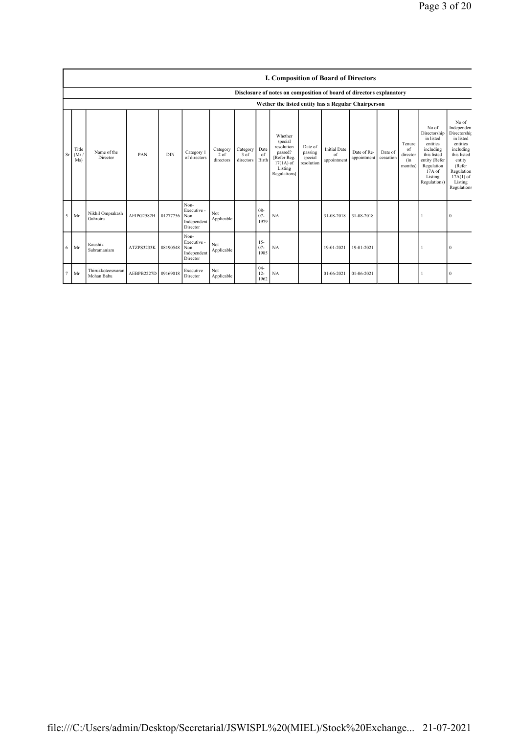|                                                    |                                                                      | <b>I. Composition of Board of Directors</b> |            |            |                                                       |                                 |                                 |                          |                                                                                                     |                                             |                                          |                            |                      |                                            |                                                                                                                                                  |                                                                                                                                                                     |
|----------------------------------------------------|----------------------------------------------------------------------|---------------------------------------------|------------|------------|-------------------------------------------------------|---------------------------------|---------------------------------|--------------------------|-----------------------------------------------------------------------------------------------------|---------------------------------------------|------------------------------------------|----------------------------|----------------------|--------------------------------------------|--------------------------------------------------------------------------------------------------------------------------------------------------|---------------------------------------------------------------------------------------------------------------------------------------------------------------------|
|                                                    | Disclosure of notes on composition of board of directors explanatory |                                             |            |            |                                                       |                                 |                                 |                          |                                                                                                     |                                             |                                          |                            |                      |                                            |                                                                                                                                                  |                                                                                                                                                                     |
| Wether the listed entity has a Regular Chairperson |                                                                      |                                             |            |            |                                                       |                                 |                                 |                          |                                                                                                     |                                             |                                          |                            |                      |                                            |                                                                                                                                                  |                                                                                                                                                                     |
| Sr                                                 | Title<br>(Mr)<br>Ms)                                                 | Name of the<br>Director                     | PAN        | <b>DIN</b> | Category 1<br>of directors                            | Category<br>$2$ of<br>directors | Category<br>$3$ of<br>directors | Date<br>of<br>Birth      | Whether<br>special<br>resolution<br>passed?<br>Refer Reg.<br>$17(1A)$ of<br>Listing<br>Regulations] | Date of<br>passing<br>special<br>resolution | <b>Initial Date</b><br>of<br>appointment | Date of Re-<br>appointment | Date of<br>cessation | Tenure<br>of<br>director<br>(in<br>months) | No of<br>Directorship<br>in listed<br>entities<br>including<br>this listed<br>entity (Refer<br>Regulation<br>$17A$ of<br>Listing<br>Regulations) | No of<br>Independen<br>Directorship<br>in listed<br>entities<br>including<br>this listed<br>entity<br>(Refer<br>Regulation<br>$17A(1)$ of<br>Listing<br>Regulations |
| 5                                                  | Mr                                                                   | Nikhil Omprakash<br>Gahrotra                | AEIPG2582H | 01277756   | Non-<br>Executive -<br>Non<br>Independent<br>Director | Not<br>Applicable               |                                 | $08 -$<br>$07 -$<br>1979 | NA                                                                                                  |                                             | 31-08-2018                               | 31-08-2018                 |                      |                                            |                                                                                                                                                  | $\Omega$                                                                                                                                                            |
| 6                                                  | Mr                                                                   | Kaushik<br>Subramaniam                      | ATZPS3233K | 08190548   | Non-<br>Executive -<br>Non<br>Independent<br>Director | Not<br>Applicable               |                                 | $15 -$<br>$07 -$<br>1985 | NA                                                                                                  |                                             | 19-01-2021                               | 19-01-2021                 |                      |                                            |                                                                                                                                                  | $\Omega$                                                                                                                                                            |
|                                                    | Mr                                                                   | Thirukkoteeswaran<br>Mohan Babu             | AEBPB2227D | 09169018   | Executive<br>Director                                 | Not<br>Applicable               |                                 | $04 -$<br>$12 -$<br>1962 | <b>NA</b>                                                                                           |                                             | 01-06-2021                               | 01-06-2021                 |                      |                                            |                                                                                                                                                  | $\Omega$                                                                                                                                                            |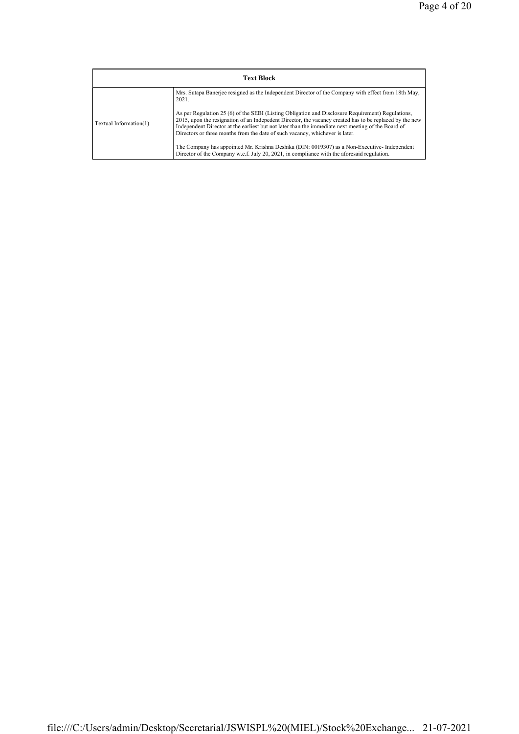|                        | <b>Text Block</b>                                                                                                                                                                                                                                                                                                                                                                                  |
|------------------------|----------------------------------------------------------------------------------------------------------------------------------------------------------------------------------------------------------------------------------------------------------------------------------------------------------------------------------------------------------------------------------------------------|
|                        | Mrs. Sutapa Baneriee resigned as the Independent Director of the Company with effect from 18th May,<br>2021.                                                                                                                                                                                                                                                                                       |
| Textual Information(1) | As per Regulation 25 (6) of the SEBI (Listing Obligation and Disclosure Requirement) Regulations,<br>2015, upon the resignation of an Indepedent Director, the vacancy created has to be replaced by the new<br>Independent Director at the earliest but not later than the immediate next meeting of the Board of<br>Directors or three months from the date of such vacancy, whichever is later. |
|                        | The Company has appointed Mr. Krishna Deshika (DIN: 0019307) as a Non-Executive-Independent<br>Director of the Company w.e.f. July 20, 2021, in compliance with the aforesaid regulation.                                                                                                                                                                                                          |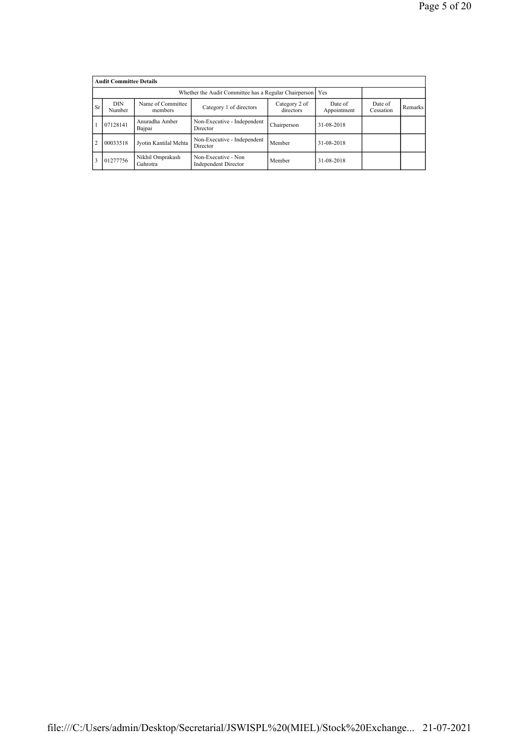|                | <b>Audit Committee Details</b> |                              |                                             |             |            |  |  |  |  |  |  |
|----------------|--------------------------------|------------------------------|---------------------------------------------|-------------|------------|--|--|--|--|--|--|
|                |                                |                              |                                             |             |            |  |  |  |  |  |  |
| <b>Sr</b>      | <b>DIN</b><br>Number           | Date of<br>Cessation         | Remarks                                     |             |            |  |  |  |  |  |  |
|                | 07128141                       | Anuradha Amber<br>Bajpai     | Non-Executive - Independent<br>Director     | Chairperson | 31-08-2018 |  |  |  |  |  |  |
| $\overline{2}$ | 00033518                       | Jyotin Kantilal Mehta        | Non-Executive - Independent<br>Director     | Member      | 31-08-2018 |  |  |  |  |  |  |
|                | 01277756                       | Nikhil Omprakash<br>Gahrotra | Non-Executive - Non<br>Independent Director | Member      | 31-08-2018 |  |  |  |  |  |  |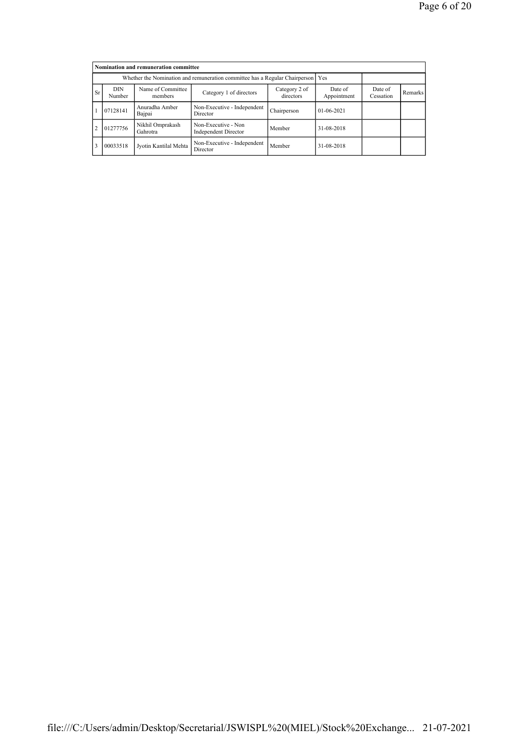|               | Nomination and remuneration committee                                           |                              |                                                    |             |              |  |  |  |  |  |  |
|---------------|---------------------------------------------------------------------------------|------------------------------|----------------------------------------------------|-------------|--------------|--|--|--|--|--|--|
|               | Whether the Nomination and remuneration committee has a Regular Chairperson Yes |                              |                                                    |             |              |  |  |  |  |  |  |
| <b>Sr</b>     | <b>DIN</b><br>Number                                                            | Date of<br>Cessation         | Remarks                                            |             |              |  |  |  |  |  |  |
|               | 07128141                                                                        | Anuradha Amber<br>Bajpai     | Non-Executive - Independent<br>Director            | Chairperson | $01-06-2021$ |  |  |  |  |  |  |
| $\mathcal{L}$ | 01277756                                                                        | Nikhil Omprakash<br>Gahrotra | Non-Executive - Non<br><b>Independent Director</b> | Member      | 31-08-2018   |  |  |  |  |  |  |
| 3             | 00033518                                                                        | Jyotin Kantilal Mehta        | 31-08-2018                                         |             |              |  |  |  |  |  |  |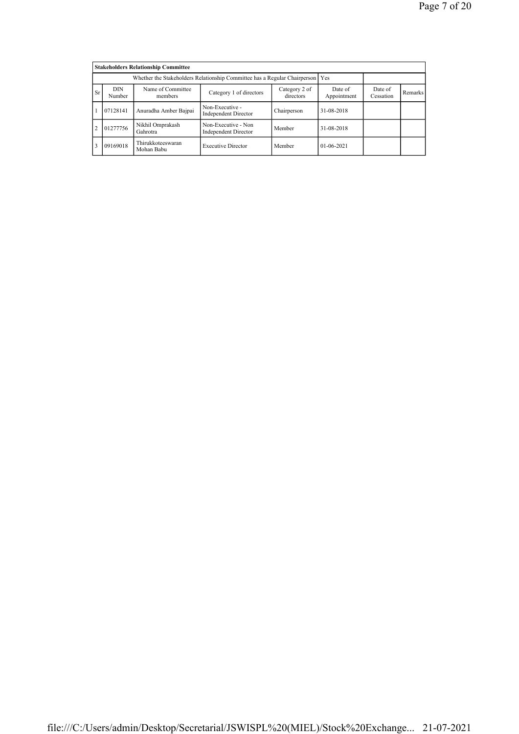|           | <b>Stakeholders Relationship Committee</b>                                    |                                 |                                             |             |            |  |  |  |  |  |  |
|-----------|-------------------------------------------------------------------------------|---------------------------------|---------------------------------------------|-------------|------------|--|--|--|--|--|--|
|           | Whether the Stakeholders Relationship Committee has a Regular Chairperson Yes |                                 |                                             |             |            |  |  |  |  |  |  |
| <b>Sr</b> | <b>DIN</b><br>Number                                                          | Date of<br>Cessation            | Remarks                                     |             |            |  |  |  |  |  |  |
|           | 07128141                                                                      | Anuradha Amber Bajpai           | Non-Executive -<br>Independent Director     | Chairperson | 31-08-2018 |  |  |  |  |  |  |
|           | 01277756                                                                      | Nikhil Omprakash<br>Gahrotra    | Non-Executive - Non<br>Independent Director | Member      | 31-08-2018 |  |  |  |  |  |  |
|           | 09169018                                                                      | Thirukkoteeswaran<br>Mohan Babu | $01 - 06 - 2021$                            |             |            |  |  |  |  |  |  |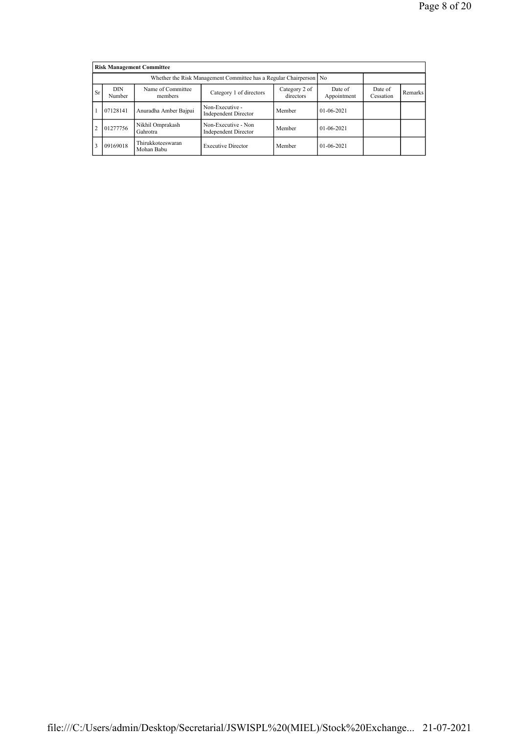|               | <b>Risk Management Committee</b>                                                                                                                     |                                 |                                             |        |              |  |  |  |  |  |  |
|---------------|------------------------------------------------------------------------------------------------------------------------------------------------------|---------------------------------|---------------------------------------------|--------|--------------|--|--|--|--|--|--|
|               | Whether the Risk Management Committee has a Regular Chairperson No                                                                                   |                                 |                                             |        |              |  |  |  |  |  |  |
| <b>Sr</b>     | Name of Committee<br><b>DIN</b><br>Category 2 of<br>Date of<br>Category 1 of directors<br>directors<br>Appointment<br>Number<br>Cessation<br>members |                                 |                                             |        |              |  |  |  |  |  |  |
|               | 07128141                                                                                                                                             | Anuradha Amber Bajpai           | Non-Executive -<br>Independent Director     | Member | $01-06-2021$ |  |  |  |  |  |  |
| $\mathcal{D}$ | 01277756                                                                                                                                             | Nikhil Omprakash<br>Gahrotra    | Non-Executive - Non<br>Independent Director | Member | $01-06-2021$ |  |  |  |  |  |  |
|               | 09169018                                                                                                                                             | Thirukkoteeswaran<br>Mohan Babu | <b>Executive Director</b>                   | Member | $01-06-2021$ |  |  |  |  |  |  |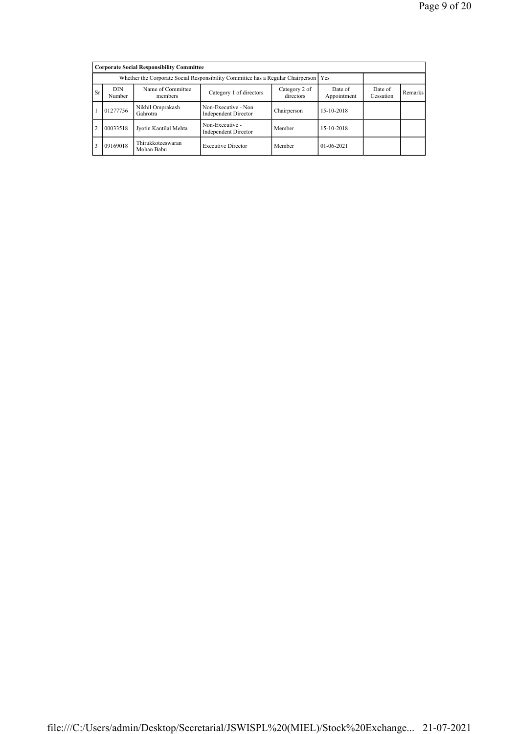|                | <b>Corporate Social Responsibility Committee</b>                                       |                                 |                                                    |             |                  |  |  |  |  |  |  |
|----------------|----------------------------------------------------------------------------------------|---------------------------------|----------------------------------------------------|-------------|------------------|--|--|--|--|--|--|
|                | Whether the Corporate Social Responsibility Committee has a Regular Chairperson<br>Yes |                                 |                                                    |             |                  |  |  |  |  |  |  |
| Sr             | <b>DIN</b><br>Number                                                                   | Date of<br>Cessation            | Remarks                                            |             |                  |  |  |  |  |  |  |
|                | Nikhil Omprakash<br>01277756<br>Gahrotra                                               |                                 | Non-Executive - Non<br><b>Independent Director</b> | Chairperson | 15-10-2018       |  |  |  |  |  |  |
| $\overline{2}$ | 00033518                                                                               | Jyotin Kantilal Mehta           | Non-Executive -<br><b>Independent Director</b>     | Member      | 15-10-2018       |  |  |  |  |  |  |
| 3              | 09169018                                                                               | Thirukkoteeswaran<br>Mohan Babu | <b>Executive Director</b>                          | Member      | $01 - 06 - 2021$ |  |  |  |  |  |  |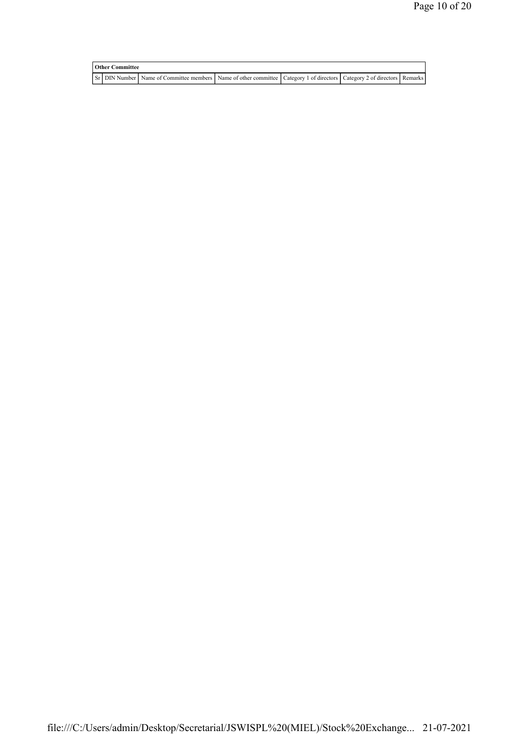| <b>Other Committee</b> |  |  |                                                                                                                         |  |  |  |  |  |  |
|------------------------|--|--|-------------------------------------------------------------------------------------------------------------------------|--|--|--|--|--|--|
|                        |  |  | Sr DIN Number Name of Committee members Name of other committee Category 1 of directors Category 2 of directors Remarks |  |  |  |  |  |  |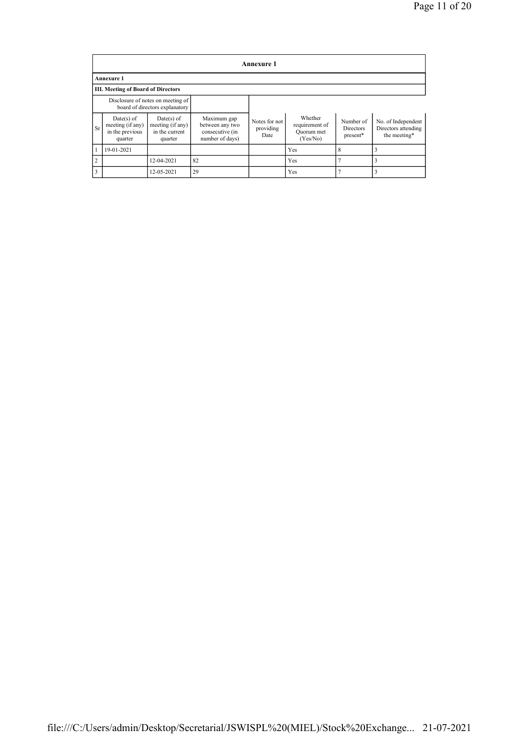|                | <b>Annexure 1</b>                                              |                                                                     |                                                                      |                                    |                                                     |                                    |                                                           |  |  |  |  |  |
|----------------|----------------------------------------------------------------|---------------------------------------------------------------------|----------------------------------------------------------------------|------------------------------------|-----------------------------------------------------|------------------------------------|-----------------------------------------------------------|--|--|--|--|--|
|                | <b>Annexure 1</b>                                              |                                                                     |                                                                      |                                    |                                                     |                                    |                                                           |  |  |  |  |  |
|                | <b>III. Meeting of Board of Directors</b>                      |                                                                     |                                                                      |                                    |                                                     |                                    |                                                           |  |  |  |  |  |
|                |                                                                | Disclosure of notes on meeting of<br>board of directors explanatory |                                                                      |                                    |                                                     |                                    |                                                           |  |  |  |  |  |
| Sr             | $Date(s)$ of<br>meeting (if any)<br>in the previous<br>quarter | $Date(s)$ of<br>meeting (if any)<br>in the current<br>quarter       | Maximum gap<br>between any two<br>consecutive (in<br>number of days) | Notes for not<br>providing<br>Date | Whether<br>requirement of<br>Quorum met<br>(Yes/No) | Number of<br>Directors<br>present* | No. of Independent<br>Directors attending<br>the meeting* |  |  |  |  |  |
|                | 19-01-2021                                                     |                                                                     |                                                                      |                                    | Yes                                                 | 8                                  |                                                           |  |  |  |  |  |
| $\overline{2}$ |                                                                | 12-04-2021                                                          | 82                                                                   |                                    | Yes                                                 |                                    |                                                           |  |  |  |  |  |
| 3              |                                                                | 12-05-2021                                                          | 29                                                                   |                                    | Yes                                                 |                                    |                                                           |  |  |  |  |  |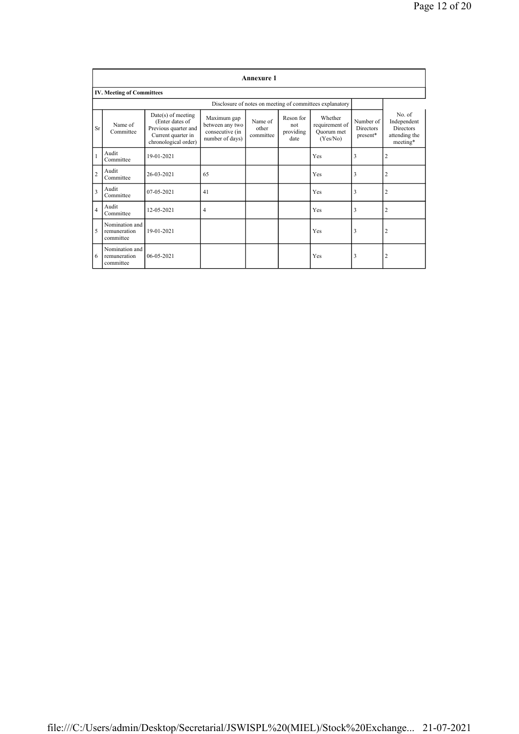|                | <b>Annexure 1</b>                           |                                                                                                               |                                                                      |                               |                                       |                                                          |                                           |                                                                        |
|----------------|---------------------------------------------|---------------------------------------------------------------------------------------------------------------|----------------------------------------------------------------------|-------------------------------|---------------------------------------|----------------------------------------------------------|-------------------------------------------|------------------------------------------------------------------------|
|                | <b>IV. Meeting of Committees</b>            |                                                                                                               |                                                                      |                               |                                       |                                                          |                                           |                                                                        |
|                |                                             |                                                                                                               |                                                                      |                               |                                       | Disclosure of notes on meeting of committees explanatory |                                           |                                                                        |
| Sr             | Name of<br>Committee                        | $Date(s)$ of meeting<br>(Enter dates of<br>Previous quarter and<br>Current quarter in<br>chronological order) | Maximum gap<br>between any two<br>consecutive (in<br>number of days) | Name of<br>other<br>committee | Reson for<br>not<br>providing<br>date | Whether<br>requirement of<br>Ouorum met<br>(Yes/No)      | Number of<br><b>Directors</b><br>present* | No. of<br>Independent<br><b>Directors</b><br>attending the<br>meeting* |
|                | Audit<br>Committee                          | 19-01-2021                                                                                                    |                                                                      |                               |                                       | Yes                                                      | 3                                         | 2                                                                      |
| $\overline{c}$ | Audit<br>Committee                          | 26-03-2021                                                                                                    | 65                                                                   |                               |                                       | Yes                                                      | 3                                         | $\overline{2}$                                                         |
| 3              | Audit<br>Committee                          | $07 - 05 - 2021$                                                                                              | 41                                                                   |                               |                                       | Yes                                                      | 3                                         | $\overline{2}$                                                         |
| $\overline{4}$ | Audit<br>Committee                          | 12-05-2021                                                                                                    | $\overline{4}$                                                       |                               |                                       | Yes                                                      | 3                                         | 2                                                                      |
| 5              | Nomination and<br>remuneration<br>committee | 19-01-2021                                                                                                    |                                                                      |                               |                                       | Yes                                                      | 3                                         | 2                                                                      |
| 6              | Nomination and<br>remuneration<br>committee | $06 - 05 - 2021$                                                                                              |                                                                      |                               |                                       | Yes                                                      | 3                                         | $\overline{2}$                                                         |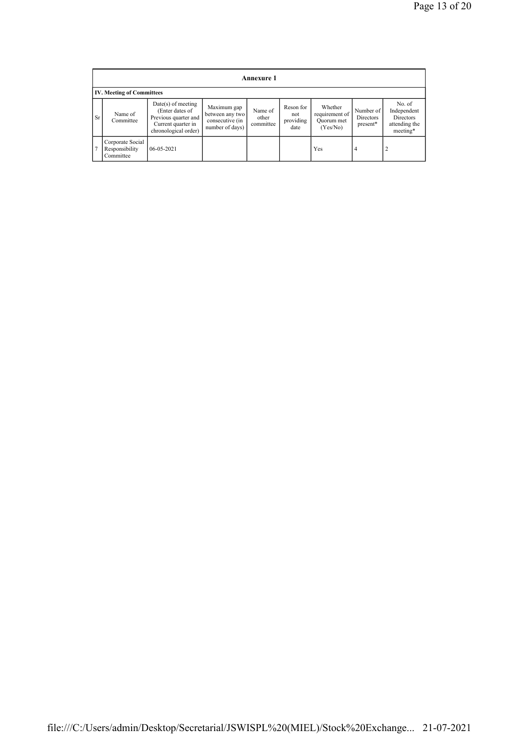|    | <b>Annexure 1</b>                               |                                                                                                               |                                                                      |                               |                                       |                                                     |                                           |                                                                        |
|----|-------------------------------------------------|---------------------------------------------------------------------------------------------------------------|----------------------------------------------------------------------|-------------------------------|---------------------------------------|-----------------------------------------------------|-------------------------------------------|------------------------------------------------------------------------|
|    | <b>IV. Meeting of Committees</b>                |                                                                                                               |                                                                      |                               |                                       |                                                     |                                           |                                                                        |
| Sr | Name of<br>Committee                            | $Date(s)$ of meeting<br>(Enter dates of<br>Previous quarter and<br>Current quarter in<br>chronological order) | Maximum gap<br>between any two<br>consecutive (in<br>number of days) | Name of<br>other<br>committee | Reson for<br>not<br>providing<br>date | Whether<br>requirement of<br>Ouorum met<br>(Yes/No) | Number of<br><b>Directors</b><br>present* | No. of<br>Independent<br><b>Directors</b><br>attending the<br>meeting* |
| 7  | Corporate Social<br>Responsibility<br>Committee | $06 - 05 - 2021$                                                                                              |                                                                      |                               |                                       | Yes                                                 | 4                                         | $\overline{2}$                                                         |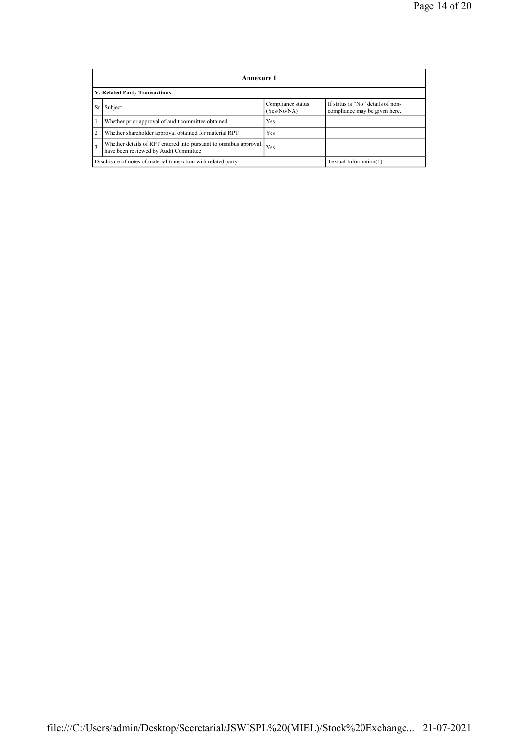|                | Annexure 1                                                                                                |                                  |                                                                    |  |  |  |
|----------------|-----------------------------------------------------------------------------------------------------------|----------------------------------|--------------------------------------------------------------------|--|--|--|
|                | V. Related Party Transactions                                                                             |                                  |                                                                    |  |  |  |
| Sr             | Subject                                                                                                   | Compliance status<br>(Yes/No/NA) | If status is "No" details of non-<br>compliance may be given here. |  |  |  |
|                | Whether prior approval of audit committee obtained                                                        | Yes                              |                                                                    |  |  |  |
| $\overline{2}$ | Whether shareholder approval obtained for material RPT                                                    | <b>Yes</b>                       |                                                                    |  |  |  |
| $\overline{3}$ | Whether details of RPT entered into pursuant to omnibus approval<br>have been reviewed by Audit Committee | Yes                              |                                                                    |  |  |  |
|                | Disclosure of notes of material transaction with related party<br>Textual Information(1)                  |                                  |                                                                    |  |  |  |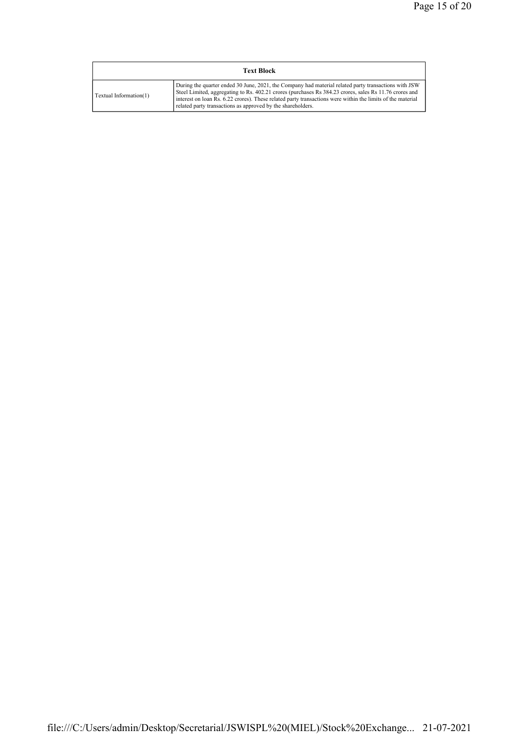| <b>Text Block</b>      |                                                                                                                                                                                                                                                                                                                                                                                             |  |  |  |
|------------------------|---------------------------------------------------------------------------------------------------------------------------------------------------------------------------------------------------------------------------------------------------------------------------------------------------------------------------------------------------------------------------------------------|--|--|--|
| Textual Information(1) | During the quarter ended 30 June, 2021, the Company had material related party transactions with JSW<br>Steel Limited, aggregating to Rs. 402.21 crores (purchases Rs 384.23 crores, sales Rs 11.76 crores and<br>interest on loan Rs. 6.22 crores). These related party transactions were within the limits of the material<br>related party transactions as approved by the shareholders. |  |  |  |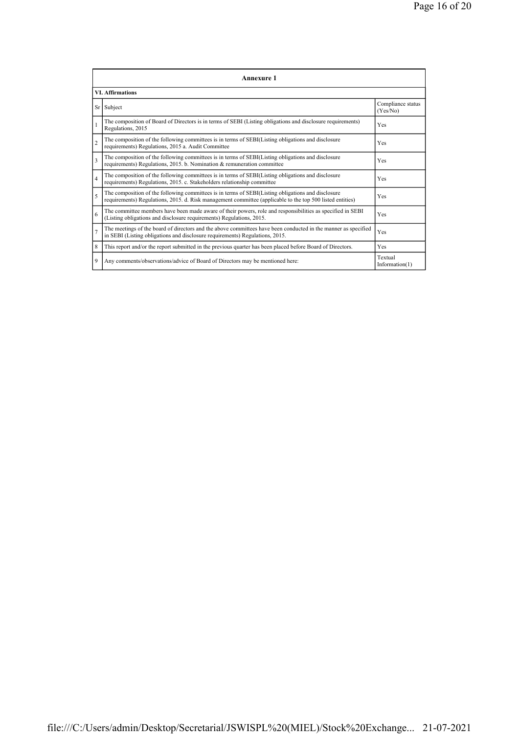|                | Annexure 1                                                                                                                                                                                                      |                               |  |  |  |
|----------------|-----------------------------------------------------------------------------------------------------------------------------------------------------------------------------------------------------------------|-------------------------------|--|--|--|
|                | <b>VI. Affirmations</b>                                                                                                                                                                                         |                               |  |  |  |
| Sr             | Subject                                                                                                                                                                                                         | Compliance status<br>(Yes/No) |  |  |  |
| $\mathbf{1}$   | The composition of Board of Directors is in terms of SEBI (Listing obligations and disclosure requirements)<br>Regulations, 2015                                                                                | Yes                           |  |  |  |
| $\overline{2}$ | The composition of the following committees is in terms of SEBI(Listing obligations and disclosure<br>requirements) Regulations, 2015 a. Audit Committee                                                        | Yes                           |  |  |  |
| 3              | The composition of the following committees is in terms of SEBI(Listing obligations and disclosure<br>requirements) Regulations, 2015. b. Nomination & remuneration committee                                   | Yes                           |  |  |  |
| $\overline{4}$ | The composition of the following committees is in terms of SEBI(Listing obligations and disclosure<br>requirements) Regulations, 2015. c. Stakeholders relationship committee                                   | Yes                           |  |  |  |
| 5              | The composition of the following committees is in terms of SEBI(Listing obligations and disclosure<br>requirements) Regulations, 2015. d. Risk management committee (applicable to the top 500 listed entities) | Yes                           |  |  |  |
| 6              | The committee members have been made aware of their powers, role and responsibilities as specified in SEBI<br>(Listing obligations and disclosure requirements) Regulations, 2015.                              | Yes                           |  |  |  |
| $\overline{7}$ | The meetings of the board of directors and the above committees have been conducted in the manner as specified<br>in SEBI (Listing obligations and disclosure requirements) Regulations, 2015.                  | Yes                           |  |  |  |
| 8              | This report and/or the report submitted in the previous quarter has been placed before Board of Directors.                                                                                                      | Yes                           |  |  |  |
| 9              | Any comments/observations/advice of Board of Directors may be mentioned here:                                                                                                                                   | Textual<br>Information(1)     |  |  |  |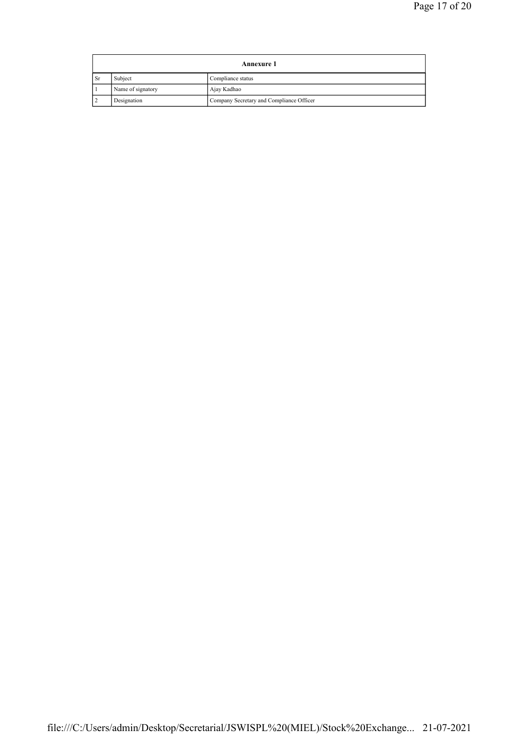|                                  | <b>Annexure 1</b>            |                                          |  |  |  |
|----------------------------------|------------------------------|------------------------------------------|--|--|--|
| <b>Sr</b>                        | Subject<br>Compliance status |                                          |  |  |  |
| Name of signatory<br>Ajay Kadhao |                              |                                          |  |  |  |
|                                  | Designation                  | Company Secretary and Compliance Officer |  |  |  |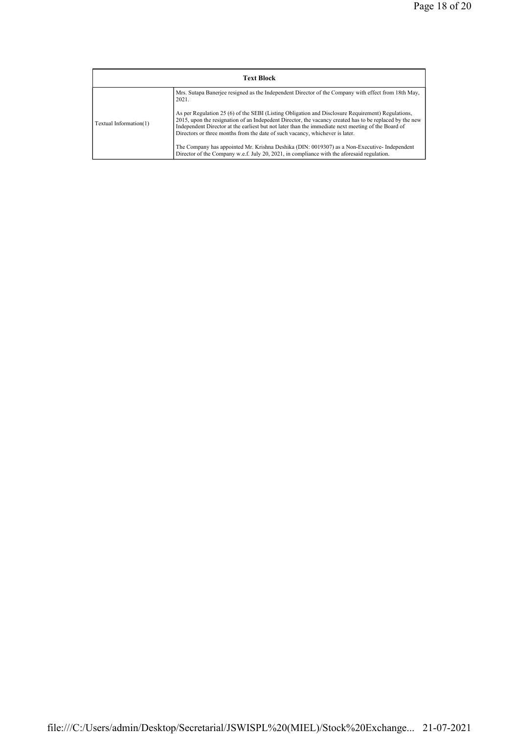| <b>Text Block</b>      |                                                                                                                                                                                                                                                                                                                                                                                                    |  |  |
|------------------------|----------------------------------------------------------------------------------------------------------------------------------------------------------------------------------------------------------------------------------------------------------------------------------------------------------------------------------------------------------------------------------------------------|--|--|
|                        | Mrs. Sutapa Banerie resigned as the Independent Director of the Company with effect from 18th May,<br>2021.                                                                                                                                                                                                                                                                                        |  |  |
| Textual Information(1) | As per Regulation 25 (6) of the SEBI (Listing Obligation and Disclosure Requirement) Regulations,<br>2015, upon the resignation of an Indepedent Director, the vacancy created has to be replaced by the new<br>Independent Director at the earliest but not later than the immediate next meeting of the Board of<br>Directors or three months from the date of such vacancy, whichever is later. |  |  |
|                        | The Company has appointed Mr. Krishna Deshika (DIN: 0019307) as a Non-Executive-Independent<br>Director of the Company w.e.f. July 20, 2021, in compliance with the aforesaid regulation.                                                                                                                                                                                                          |  |  |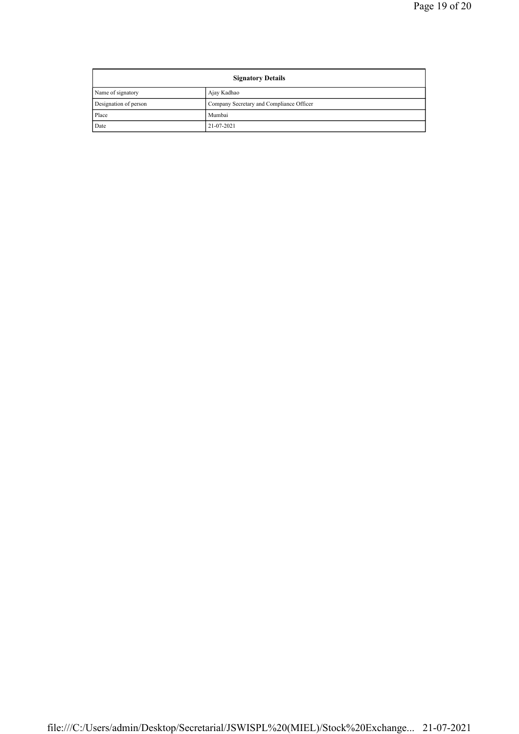| <b>Signatory Details</b> |                                          |  |
|--------------------------|------------------------------------------|--|
| Name of signatory        | Ajay Kadhao                              |  |
| Designation of person    | Company Secretary and Compliance Officer |  |
| Place                    | Mumbai                                   |  |
| Date                     | 21-07-2021                               |  |